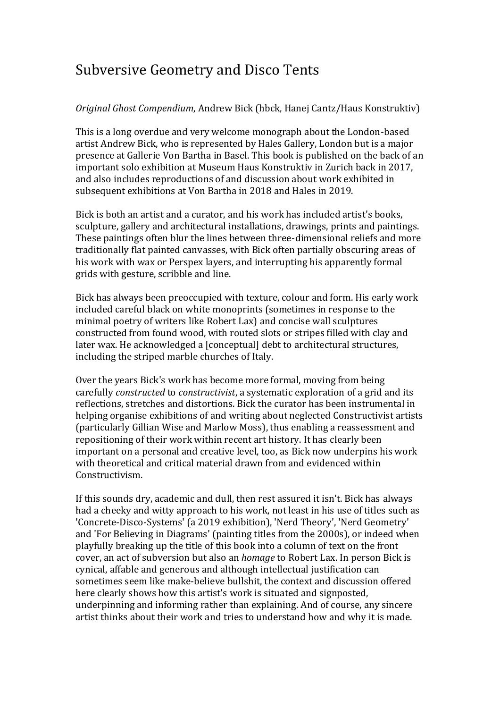## Subversive Geometry and Disco Tents

## *Original Ghost Compendium*, Andrew Bick (hbck, Hanej Cantz/Haus Konstruktiv)

This is a long overdue and very welcome monograph about the London-based artist Andrew Bick, who is represented by Hales Gallery, London but is a major presence at Gallerie Von Bartha in Basel. This book is published on the back of an important solo exhibition at Museum Haus Konstruktiv in Zurich back in 2017, and also includes reproductions of and discussion about work exhibited in subsequent exhibitions at Von Bartha in 2018 and Hales in 2019.

Bick is both an artist and a curator, and his work has included artist's books, sculpture, gallery and architectural installations, drawings, prints and paintings. These paintings often blur the lines between three-dimensional reliefs and more traditionally flat painted canvasses, with Bick often partially obscuring areas of his work with wax or Perspex layers, and interrupting his apparently formal grids with gesture, scribble and line.

Bick has always been preoccupied with texture, colour and form. His early work included careful black on white monoprints (sometimes in response to the minimal poetry of writers like Robert Lax) and concise wall sculptures constructed from found wood, with routed slots or stripes filled with clay and later wax. He acknowledged a [conceptual] debt to architectural structures, including the striped marble churches of Italy.

Over the years Bick's work has become more formal, moving from being carefully *constructed* to *constructivist*, a systematic exploration of a grid and its reflections, stretches and distortions. Bick the curator has been instrumental in helping organise exhibitions of and writing about neglected Constructivist artists (particularly Gillian Wise and Marlow Moss), thus enabling a reassessment and repositioning of their work within recent art history. It has clearly been important on a personal and creative level, too, as Bick now underpins his work with theoretical and critical material drawn from and evidenced within Constructivism.

If this sounds dry, academic and dull, then rest assured it isn't. Bick has always had a cheeky and witty approach to his work, not least in his use of titles such as 'Concrete-Disco-Systems' (a 2019 exhibition), 'Nerd Theory', 'Nerd Geometry' and 'For Believing in Diagrams' (painting titles from the 2000s), or indeed when playfully breaking up the title of this book into a column of text on the front cover, an act of subversion but also an *homage* to Robert Lax. In person Bick is cynical, affable and generous and although intellectual justification can sometimes seem like make-believe bullshit, the context and discussion offered here clearly shows how this artist's work is situated and signposted, underpinning and informing rather than explaining. And of course, any sincere artist thinks about their work and tries to understand how and why it is made.